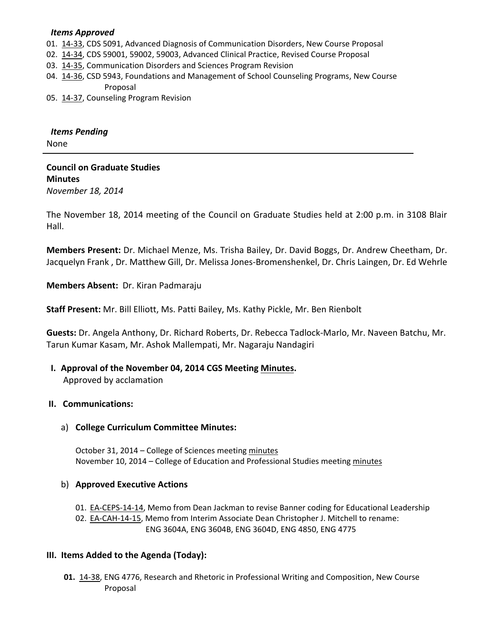#### *Items Approved*

- 01. [14-33,](http://castle.eiu.edu/~eiucgs/currentagendaitems/agenda14-33.pdf) CDS 5091, Advanced Diagnosis of Communication Disorders, New Course Proposal
- 02. [14-34,](http://castle.eiu.edu/~eiucgs/currentagendaitems/agenda14-34.pdf) CDS 59001, 59002, 59003, Advanced Clinical Practice, Revised Course Proposal
- 03. [14-35,](http://castle.eiu.edu/~eiucgs/currentagendaitems/agenda14-35.pdf) Communication Disorders and Sciences Program Revision
- 04. [14-36,](http://castle.eiu.edu/~eiucgs/currentagendaitems/agenda14-36.pdf) CSD 5943, Foundations and Management of School Counseling Programs, New Course Proposal
- 05. [14-37,](http://castle.eiu.edu/~eiucgs/currentagendaitems/agenda14-37.pdf) Counseling Program Revision

# *Items Pending*

None

## **Council on Graduate Studies Minutes** *November 18, 2014*

The November 18, 2014 meeting of the Council on Graduate Studies held at 2:00 p.m. in 3108 Blair Hall.

**Members Present:** Dr. Michael Menze, Ms. Trisha Bailey, Dr. David Boggs, Dr. Andrew Cheetham, Dr. Jacquelyn Frank , Dr. Matthew Gill, Dr. Melissa Jones-Bromenshenkel, Dr. Chris Laingen, Dr. Ed Wehrle

**Members Absent:** Dr. Kiran Padmaraju

**Staff Present:** Mr. Bill Elliott, Ms. Patti Bailey, Ms. Kathy Pickle, Mr. Ben Rienbolt

**Guests:** Dr. Angela Anthony, Dr. Richard Roberts, Dr. Rebecca Tadlock-Marlo, Mr. Naveen Batchu, Mr. Tarun Kumar Kasam, Mr. Ashok Mallempati, Mr. Nagaraju Nandagiri

## **I. Approval of the November 04, 2014 CGS Meeting [Minutes.](http://castle.eiu.edu/eiucgs/currentminutes/Minutes11-04-14.pdf)** Approved by acclamation

### **II. Communications:**

#### a) **College Curriculum Committee Minutes:**

October 31, 2014 – College of Sciences meeting [minutes](http://castle.eiu.edu/~eiucgs/currentagendaitems/COSMin10-31-14.pdf) November 10, 2014 – College of Education and Professional Studies meeting [minutes](http://castle.eiu.edu/~eiucgs/currentagendaitems/CEPSMin11-10-14.pdf)

#### b) **Approved Executive Actions**

01. [EA-CEPS-14-14,](http://castle.eiu.edu/~eiucgs/exec-actions/EA-CEPS-14-14.pdf) Memo from Dean Jackman to revise Banner coding for Educational Leadership 02. [EA-CAH-14-15,](http://castle.eiu.edu/~eiucgs/exec-actions/EA-CAH-14-15.pdf) Memo from Interim Associate Dean Christopher J. Mitchell to rename: ENG 3604A, ENG 3604B, ENG 3604D, ENG 4850, ENG 4775

### **III. Items Added to the Agenda (Today):**

**01.** [14-38,](http://castle.eiu.edu/~eiucgs/currentagendaitems/agenda14-38.pdf) ENG 4776, Research and Rhetoric in Professional Writing and Composition, New Course Proposal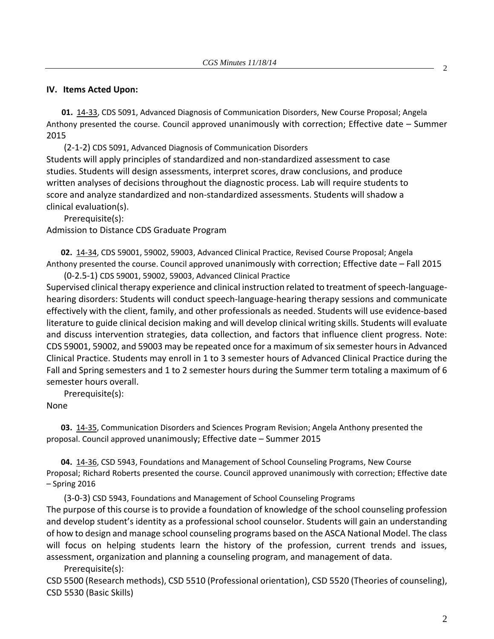#### **IV. Items Acted Upon:**

**01.** [14-33,](http://castle.eiu.edu/~eiucgs/currentagendaitems/agenda14-33.pdf) CDS 5091, Advanced Diagnosis of Communication Disorders, New Course Proposal; Angela Anthony presented the course. Council approved unanimously with correction; Effective date – Summer 2015

(2-1-2) CDS 5091, Advanced Diagnosis of Communication Disorders Students will apply principles of standardized and non-standardized assessment to case studies. Students will design assessments, interpret scores, draw conclusions, and produce written analyses of decisions throughout the diagnostic process. Lab will require students to score and analyze standardized and non-standardized assessments. Students will shadow a clinical evaluation(s).

Prerequisite(s):

Admission to Distance CDS Graduate Program

**02.** [14-34,](http://castle.eiu.edu/~eiucgs/currentagendaitems/agenda14-34.pdf) CDS 59001, 59002, 59003, Advanced Clinical Practice, Revised Course Proposal; Angela Anthony presented the course. Council approved unanimously with correction; Effective date – Fall 2015 (0-2.5-1) CDS 59001, 59002, 59003, Advanced Clinical Practice

Supervised clinical therapy experience and clinical instruction related to treatment of speech-languagehearing disorders: Students will conduct speech-language-hearing therapy sessions and communicate effectively with the client, family, and other professionals as needed. Students will use evidence-based literature to guide clinical decision making and will develop clinical writing skills. Students will evaluate and discuss intervention strategies, data collection, and factors that influence client progress. Note: CDS 59001, 59002, and 59003 may be repeated once for a maximum of six semester hours in Advanced Clinical Practice. Students may enroll in 1 to 3 semester hours of Advanced Clinical Practice during the Fall and Spring semesters and 1 to 2 semester hours during the Summer term totaling a maximum of 6 semester hours overall.

Prerequisite(s):

None

**03.** [14-35,](http://castle.eiu.edu/~eiucgs/currentagendaitems/agenda14-35.pdf) Communication Disorders and Sciences Program Revision; Angela Anthony presented the proposal. Council approved unanimously; Effective date – Summer 2015

**04.** [14-36,](http://castle.eiu.edu/~eiucgs/currentagendaitems/agenda14-36.pdf) CSD 5943, Foundations and Management of School Counseling Programs, New Course Proposal; Richard Roberts presented the course. Council approved unanimously with correction; Effective date – Spring 2016

(3-0-3) CSD 5943, Foundations and Management of School Counseling Programs The purpose of this course is to provide a foundation of knowledge of the school counseling profession and develop student's identity as a professional school counselor. Students will gain an understanding of how to design and manage school counseling programs based on the ASCA National Model. The class will focus on helping students learn the history of the profession, current trends and issues, assessment, organization and planning a counseling program, and management of data.

Prerequisite(s):

CSD 5500 (Research methods), CSD 5510 (Professional orientation), CSD 5520 (Theories of counseling), CSD 5530 (Basic Skills)

2